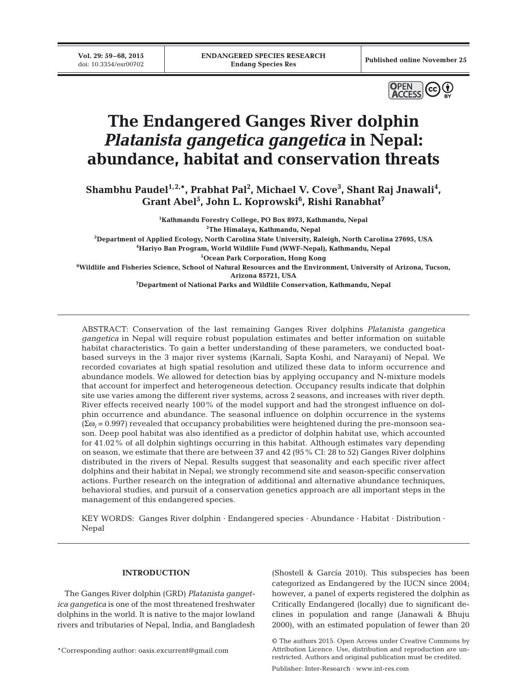**Vol. 29: 59–68, 2015**<br>doi: 10.3354/esr00702



# **The Endangered Ganges River dolphin**  *Platanista gangetica gangetica* **in Nepal: abundance, habitat and conservation threats**

Shambhu Paudel<sup>1,2,\*</sup>, Prabhat Pal<sup>2</sup>, Michael V. Cove<sup>3</sup>, Shant Raj Jnawali<sup>4</sup>,  $\mathbf{Grant\text{-}Abel}^5$ , John L. Koprowski $^6$ , Rishi Ranabhat $^7$ 

 **Kathmandu Forestry College, PO Box 8973, Kathmandu, Nepal The Himalaya, Kathmandu, Nepal Department of Applied Ecology, North Carolina State University, Raleigh, North Carolina 27695, USA Hariyo Ban Program, World Wildlife Fund (WWF-Nepal), Kathmandu, Nepal Ocean Park Corporation, Hong Kong Wildlife and Fisheries Science, School of Natural Resources and the Environment, University of Arizona, Tucson, Arizona 85721, USA**

**7 Department of National Parks and Wildlife Conservation, Kathmandu, Nepal**

ABSTRACT: Conservation of the last remaining Ganges River dolphins *Platanista gangetica gangetica* in Nepal will require robust population estimates and better information on suitable habitat characteristics. To gain a better understanding of these parameters, we conducted boatbased surveys in the 3 major river systems (Karnali, Sapta Koshi, and Narayani) of Nepal. We recorded covariates at high spatial resolution and utilized these data to inform occurrence and abundance models. We allowed for detection bias by applying occupancy and N-mixture models that account for imperfect and heterogeneous detection. Occupancy results indicate that dolphin site use varies among the different river systems, across 2 seasons, and increases with river depth. River effects received nearly 100% of the model support and had the strongest influence on dolphin occurrence and abundance. The seasonal influence on dolphin occurrence in the systems (Σω*<sup>i</sup>* = 0.997) revealed that occupancy probabilities were heightened during the pre-monsoon season. Deep pool habitat was also identified as a predictor of dolphin habitat use, which accounted for 41.02% of all dolphin sightings occurring in this habitat. Although estimates vary depending on season, we estimate that there are between 37 and 42 (95% CI: 28 to 52) Ganges River dolphins distributed in the rivers of Nepal. Results suggest that seasonality and each specific river affect dolphins and their habitat in Nepal; we strongly recommend site and season-specific conservation actions. Further research on the integration of additional and alternative abundance techniques, behavioral studies, and pursuit of a conservation genetics approach are all important steps in the management of this endangered species.

KEY WORDS: Ganges River dolphin · Endangered species · Abundance · Habitat · Distribution · Nepal

## **INTRODUCTION**

The Ganges River dolphin (GRD) *Platanista gangetica gangetica* is one of the most threatened freshwater dolphins in the world. It is native to the major lowland rivers and tributaries of Nepal, India, and Bangladesh

\*Corresponding author: oasis.excurrent@gmail.com

(Shostell & García 2010). This subspecies has been categorized as Endangered by the IUCN since 2004; however, a panel of experts registered the dolphin as Critically Endangered (locally) due to significant declines in population and range (Janawali & Bhuju 2000), with an estimated population of fewer than 20

Publisher: Inter-Research · www.int-res.com

<sup>©</sup> The authors 2015. Open Access under Creative Commons by Attribution Licence. Use, distribution and reproduction are unrestricted. Authors and original publication must be credited.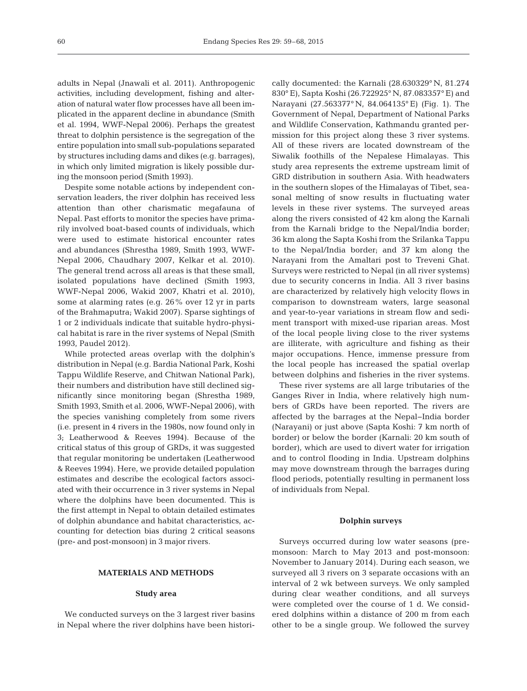adults in Nepal (Jnawali et al. 2011). Anthropogenic activities, including development, fishing and alteration of natural water flow processes have all been implicated in the apparent decline in abundance (Smith et al. 1994, WWF-Nepal 2006). Perhaps the greatest threat to dolphin persistence is the segregation of the entire population into small sub-populations separated by structures including dams and dikes (e.g. barrages), in which only limited migration is likely possible during the monsoon period (Smith 1993).

Despite some notable actions by independent conservation leaders, the river dolphin has received less attention than other charismatic megafauna of Nepal. Past efforts to monitor the species have primarily involved boat-based counts of individuals, which were used to estimate historical encounter rates and abundances (Shrestha 1989, Smith 1993, WWF-Nepal 2006, Chaudhary 2007, Kelkar et al. 2010). The general trend across all areas is that these small, isolated populations have declined (Smith 1993, WWF-Nepal 2006, Wakid 2007, Khatri et al. 2010), some at alarming rates (e.g. 26% over 12 yr in parts of the Brahmaputra; Wakid 2007). Sparse sightings of 1 or 2 individuals indicate that suitable hydro-physical habitat is rare in the river systems of Nepal (Smith 1993, Paudel 2012).

While protected areas overlap with the dolphin's distribution in Nepal (e.g. Bardia National Park, Koshi Tappu Wildlife Reserve, and Chitwan National Park), their numbers and distribution have still declined significantly since monitoring began (Shrestha 1989, Smith 1993, Smith et al. 2006, WWF-Nepal 2006), with the species vanishing completely from some rivers (i.e. present in 4 rivers in the 1980s, now found only in 3; Leatherwood & Reeves 1994). Because of the critical status of this group of GRDs, it was suggested that regular monitoring be undertaken (Leatherwood & Reeves 1994). Here, we provide detailed population estimates and describe the ecological factors associated with their occurrence in 3 river systems in Nepal where the dolphins have been documented. This is the first attempt in Nepal to obtain detailed estimates of dolphin abundance and habitat characteristics, accounting for detection bias during 2 critical seasons (pre- and post-monsoon) in 3 major rivers.

## **MATERIALS AND METHODS**

## **Study area**

We conducted surveys on the 3 largest river basins in Nepal where the river dolphins have been historically documented: the Karnali (28.630329° N, 81.274 830° E), Sapta Koshi (26.722925° N, 87.083357° E) and Narayani (27.563377° N, 84.064135° E) (Fig. 1). The Government of Nepal, Department of National Parks and Wildlife Conservation, Kathmandu granted permission for this project along these 3 river systems. All of these rivers are located downstream of the Siwalik foothills of the Nepalese Himalayas. This study area represents the extreme upstream limit of GRD distribution in southern Asia. With headwaters in the southern slopes of the Himalayas of Tibet, seasonal melting of snow results in fluctuating water levels in these river systems. The surveyed areas along the rivers consisted of 42 km along the Karnali from the Karnali bridge to the Nepal/India border; 36 km along the Sapta Koshi from the Srilanka Tappu to the Nepal/India border; and 37 km along the Narayani from the Amaltari post to Treveni Ghat. Surveys were restricted to Nepal (in all river systems) due to security concerns in India. All 3 river basins are characterized by relatively high velocity flows in comparison to downstream waters, large seasonal and year-to-year variations in stream flow and sediment transport with mixed-use riparian areas. Most of the local people living close to the river systems are illiterate, with agriculture and fishing as their major occupations. Hence, immense pressure from the local people has increased the spatial overlap between dolphins and fisheries in the river systems.

These river systems are all large tributaries of the Ganges River in India, where relatively high numbers of GRDs have been reported. The rivers are affected by the barrages at the Nepal−India border (Narayani) or just above (Sapta Koshi: 7 km north of border) or below the border (Karnali: 20 km south of border), which are used to divert water for irrigation and to control flooding in India. Upstream dolphins may move downstream through the barrages during flood periods, potentially resulting in permanent loss of individuals from Nepal.

## **Dolphin surveys**

Surveys occurred during low water seasons (premonsoon: March to May 2013 and post-monsoon: November to January 2014). During each season, we surveyed all 3 rivers on 3 separate occasions with an interval of 2 wk between surveys. We only sampled during clear weather conditions, and all surveys were completed over the course of 1 d. We considered dolphins within a distance of 200 m from each other to be a single group. We followed the survey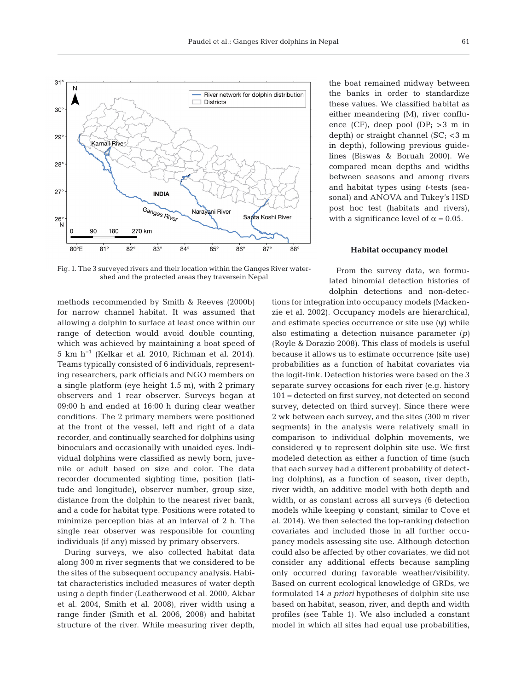

Fig. 1. The 3 surveyed rivers and their location within the Ganges River watershed and the protected areas they traversein Nepal

methods recommended by Smith & Reeves (2000b) for narrow channel habitat. It was assumed that allowing a dolphin to surface at least once within our range of detection would avoid double counting, which was achieved by maintaining a boat speed of 5 km h−1 (Kelkar et al. 2010, Richman et al. 2014). Teams typically consisted of 6 individuals, representing researchers, park officials and NGO members on a single platform (eye height 1.5 m), with 2 primary observers and 1 rear observer. Surveys began at 09:00 h and ended at 16:00 h during clear weather conditions. The 2 primary members were positioned at the front of the vessel, left and right of a data recorder, and continually searched for dolphins using binoculars and occasionally with unaided eyes. Individual dolphins were classified as newly born, juvenile or adult based on size and color. The data recorder documented sighting time, position (latitude and longitude), observer number, group size, distance from the dolphin to the nearest river bank, and a code for habitat type. Positions were rotated to minimize perception bias at an interval of 2 h. The single rear observer was responsible for counting individuals (if any) missed by primary observers.

During surveys, we also collected habitat data along 300 m river segments that we considered to be the sites of the subsequent occupancy analysis. Habitat characteristics included measures of water depth using a depth finder (Leatherwood et al. 2000, Akbar et al. 2004, Smith et al. 2008), river width using a range finder (Smith et al. 2006, 2008) and habitat structure of the river. While measuring river depth, the boat remained midway between the banks in order to standardize these values. We classified habitat as either meandering (M), river confluence (CF), deep pool (DP; >3 m in depth) or straight channel (SC; <3 m in depth), following previous guidelines (Biswas & Boruah 2000). We compared mean depths and widths between seasons and among rivers and habitat types using *t*-tests (seasonal) and ANOVA and Tukey's HSD post hoc test (habitats and rivers), with a significance level of  $\alpha = 0.05$ .

## **Habitat occupancy model**

From the survey data, we formulated binomial detection histories of dolphin detections and non-detec-

tions for integration into occupancy models (Mackenzie et al. 2002). Occupancy models are hierarchical, and estimate species occurrence or site use (ψ) while also estimating a detection nuisance parameter (*p)* (Royle & Dorazio 2008). This class of models is useful because it allows us to estimate occurrence (site use) probabilities as a function of habitat covariates via the logit-link. Detection histories were based on the 3 separate survey occasions for each river (e.g. history 101 = detected on first survey, not detected on second survey, detected on third survey). Since there were 2 wk between each survey, and the sites (300 m river segments) in the analysis were relatively small in comparison to individual dolphin movements, we considered  $\psi$  to represent dolphin site use. We first modeled detection as either a function of time (such that each survey had a different probability of detecting dolphins), as a function of season, river depth, river width, an additive model with both depth and width, or as constant across all surveys (6 detection models while keeping ψ constant, similar to Cove et al. 2014). We then selected the top-ranking detection covariates and included those in all further occupancy models assessing site use. Although detection could also be affected by other covariates, we did not consider any additional effects because sampling only occurred during favorable weather/visibility. Based on current ecological knowledge of GRDs, we formulated 14 *a priori* hypotheses of dolphin site use based on habitat, season, river, and depth and width profiles (see Table 1). We also included a constant model in which all sites had equal use probabilities,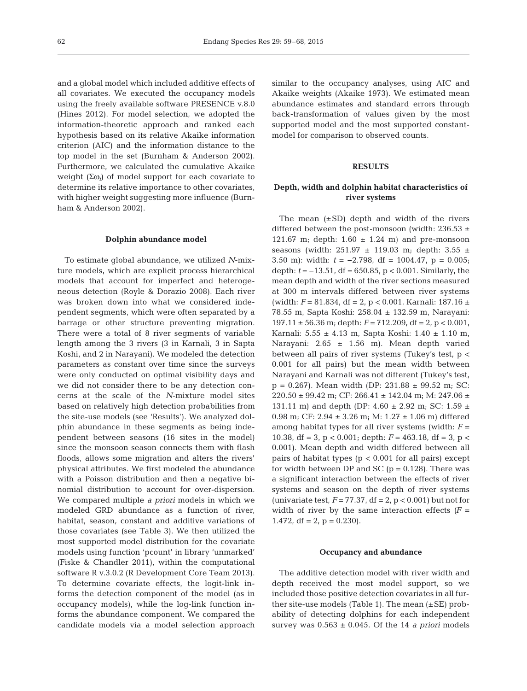and a global model which included additive effects of all covariates. We executed the occupancy models using the freely available software PRESENCE v.8.0 (Hines 2012). For model selection, we adopted the information- theoretic approach and ranked each hypothesis based on its relative Akaike information criterion (AIC) and the information distance to the top model in the set (Burnham & Anderson 2002). Furthermore, we calculated the cumulative Akaike weight (Σω*i*) of model support for each covariate to determine its relative importance to other covariates, with higher weight suggesting more influence (Burnham & Anderson 2002).

## **Dolphin abundance model**

To estimate global abundance, we utilized *N*-mixture models, which are explicit process hierarchical models that account for imperfect and heterogeneous detection (Royle & Dorazio 2008). Each river was broken down into what we considered independent segments, which were often separated by a barrage or other structure preventing migration. There were a total of 8 river segments of variable length among the 3 rivers (3 in Karnali, 3 in Sapta Koshi, and 2 in Narayani). We modeled the detection parameters as constant over time since the surveys were only conducted on optimal visibility days and we did not consider there to be any detection concerns at the scale of the *N*-mixture model sites based on relatively high detection probabilities from the site-use models (see 'Results'). We analyzed dolphin abundance in these segments as being independent between seasons (16 sites in the model) since the monsoon season connects them with flash floods, allows some migration and alters the rivers' physical attributes. We first modeled the abundance with a Poisson distribution and then a negative binomial distribution to account for over-dispersion. We compared multiple *a priori* models in which we modeled GRD abundance as a function of river, habitat, season, constant and additive variations of those covariates (see Table 3). We then utilized the most supported model distribution for the covariate models using function 'pcount' in library 'unmarked' (Fiske & Chandler 2011), within the computational software R v.3.0.2 (R Development Core Team 2013). To determine covariate effects, the logit-link informs the detection component of the model (as in occupancy models), while the log-link function informs the abundance component. We compared the candidate models via a model selection approach

similar to the occupancy analyses, using AIC and Akaike weights (Akaike 1973). We estimated mean abundance estimates and standard errors through back-transformation of values given by the most supported model and the most supported constantmodel for comparison to observed counts.

## **RESULTS**

## **Depth, width and dolphin habitat characteristics of river systems**

The mean  $(\pm SD)$  depth and width of the rivers differed between the post-monsoon (width: 236.53  $\pm$ 121.67 m; depth:  $1.60 \pm 1.24$  m) and pre-monsoon seasons (width: 251.97 ± 119.03 m; depth: 3.55 ± 3.50 m): width: *t* = −2.798, df = 1004.47, p = 0.005; depth: *t* = −13.51, df = 650.85, p < 0.001. Similarly, the mean depth and width of the river sections measured at 300 m intervals differed between river systems (width: *F* = 81.834, df = 2, p < 0.001, Karnali: 187.16 ± 78.55 m, Sapta Koshi: 258.04 ± 132.59 m, Narayani: 197.11 ± 56.36 m; depth: *F* = 712.209, df = 2, p < 0.001, Karnali: 5.55 ± 4.13 m, Sapta Koshi: 1.40 ± 1.10 m, Narayani: 2.65 ± 1.56 m). Mean depth varied between all pairs of river systems (Tukey's test, p < 0.001 for all pairs) but the mean width between Narayani and Karnali was not different (Tukey's test,  $p = 0.267$ ). Mean width (DP: 231.88  $\pm$  99.52 m; SC: 220.50 ± 99.42 m; CF: 266.41 ± 142.04 m; M: 247.06 ± 131.11 m) and depth (DP:  $4.60 \pm 2.92$  m; SC:  $1.59 \pm 1.59$ 0.98 m; CF: 2.94 ± 3.26 m; M: 1.27 ± 1.06 m) differed among habitat types for all river systems (width:  $F =$ 10.38, df = 3,  $p < 0.001$ ; depth:  $F = 463.18$ , df = 3,  $p <$ 0.001). Mean depth and width differed between all pairs of habitat types ( $p < 0.001$  for all pairs) except for width between DP and SC  $(p = 0.128)$ . There was a significant interaction between the effects of river systems and season on the depth of river systems (univariate test,  $F = 77.37$ , df = 2, p < 0.001) but not for width of river by the same interaction effects  $(F =$ 1.472, df = 2,  $p = 0.230$ .

## **Occupancy and abundance**

The additive detection model with river width and depth received the most model support, so we included those positive detection covariates in all further site-use models (Table 1). The mean  $(\pm SE)$  probability of detecting dolphins for each independent survey was  $0.563 \pm 0.045$ . Of the 14 *a priori* models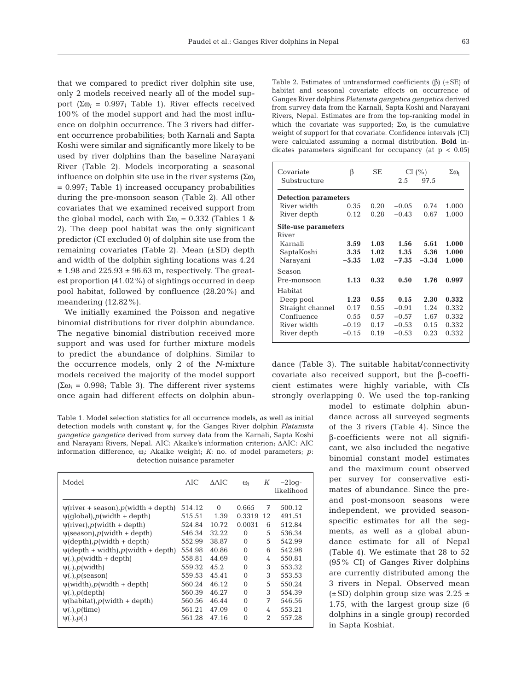that we compared to predict river dolphin site use, only 2 models received nearly all of the model support (Σω<sub>i</sub> = 0.997; Table 1). River effects received 100% of the model support and had the most influence on dolphin occurrence. The 3 rivers had different occurrence probabilities; both Karnali and Sapta Koshi were similar and significantly more likely to be used by river dolphins than the baseline Narayani River (Table 2). Models incorporating a seasonal influence on dolphin site use in the river systems (Σω*<sup>i</sup>*  $= 0.997$ ; Table 1) increased occupancy probabilities during the pre-monsoon season (Table 2). All other covariates that we examined received support from the global model, each with  $\Sigma$ ω<sub>*i*</sub> = 0.332 (Tables 1 & 2). The deep pool habitat was the only significant predictor (CI excluded 0) of dolphin site use from the remaining covariates (Table 2). Mean (±SD) depth and width of the dolphin sighting locations was 4.24  $\pm$  1.98 and 225.93  $\pm$  96.63 m, respectively. The greatest proportion (41.02%) of sightings occurred in deep pool habitat, followed by confluence (28.20%) and meandering (12.82%).

We initially examined the Poisson and negative binomial distributions for river dolphin abundance. The negative binomial distribution received more support and was used for further mixture models to predict the abundance of dolphins. Similar to the occurrence models, only 2 of the *N*-mixture models received the majority of the model support ( $\Sigma\omega_i$  = 0.998; Table 3). The different river systems once again had different effects on dolphin abun-

Table 1. Model selection statistics for all occurrence models, as well as initial detection models with constant ψ, for the Ganges River dolphin *Platanista gangetica gangetica* derived from survey data from the Karnali, Sapta Koshi and Narayani Rivers, Nepal. AIC: Akaike's information criterion; ΔAIC: AIC information difference, ω*i*: Akaike weight; *K*: no. of model parameters; *p*: detection nuisance parameter

| Model                                                   | AIC    | $\triangle AIC$ | $\omega_i$ | Κ              | $-2$ loq-<br>likelihood |
|---------------------------------------------------------|--------|-----------------|------------|----------------|-------------------------|
| $\psi$ (river + season), p(width + depth)               | 514.12 | $\Omega$        | 0.665      | 7              | 500.12                  |
| $\psi$ (qlobal), p(width + depth)                       | 515.51 | 1.39            | 0.3319     | 12             | 491.51                  |
| $\psi$ (river), <i>p</i> (width + depth)                | 524.84 | 10.72           | 0.0031     | 6              | 512.84                  |
| $\psi$ (season), p(width + depth)                       | 546.34 | 32.22           | $\Omega$   | 5              | 536.34                  |
| $\psi$ (depth), <i>p</i> (width + depth)                | 552.99 | 38.87           | $\Omega$   | 5              | 542.99                  |
| $\psi$ (depth + width), p(width + depth)                | 554.98 | 40.86           | $\Omega$   | 6              | 542.98                  |
| $\psi(.)$ , $p(\text{width} + \text{depth})$            | 558.81 | 44.69           | $\Omega$   | 4              | 550.81                  |
| $\psi(.)$ , $p(\text{width})$                           | 559.32 | 45.2            | $\Omega$   | 3              | 553.32                  |
| $\Psi(.)$ , $p$ (season)                                | 559.53 | 45.41           | $\Omega$   | 3              | 553.53                  |
| $\psi(\text{width})$ , $p(\text{width} + \text{depth})$ | 560.24 | 46.12           | $\Omega$   | 5              | 550.24                  |
| $\psi(.)$ , $p$ (depth)                                 | 560.39 | 46.27           | $\Omega$   | 3              | 554.39                  |
| $\psi$ (habitat), p(width + depth)                      | 560.56 | 46.44           | $\Omega$   | 7              | 546.56                  |
| $\psi(.)$ , $p$ (time)                                  | 561.21 | 47.09           | $\Omega$   | 4              | 553.21                  |
| $\Psi(.)$ , $p(.)$                                      | 561.28 | 47.16           | $\Omega$   | $\mathfrak{D}$ | 557.28                  |

Table 2. Estimates of untransformed coefficients (β) (±SE) of habitat and seasonal covariate effects on occurrence of Ganges River dolphins *Platanista gangetica gangetica* derived from survey data from the Karnali, Sapta Koshi and Narayani Rivers, Nepal. Estimates are from the top-ranking model in which the covariate was supported;  $\Sigma\omega_i$  is the cumulative weight of support for that covariate. Confidence intervals (CI) were calculated assuming a normal distribution. **Bold** in dicates parameters significant for occupancy (at  $p < 0.05$ )

| Covariate<br>Substructure   | β       | SЕ   | CI(%)<br>2.5<br>97.5 |         | $\Sigma\omega_i$ |  |  |  |  |
|-----------------------------|---------|------|----------------------|---------|------------------|--|--|--|--|
| <b>Detection parameters</b> |         |      |                      |         |                  |  |  |  |  |
| River width                 | 0.35    | 0.20 | $-0.05$              | 0.74    | 1.000            |  |  |  |  |
| River depth                 | 0.12    | 0.28 | $-0.43$              | 0.67    | 1.000            |  |  |  |  |
| Site-use parameters         |         |      |                      |         |                  |  |  |  |  |
| River                       |         |      |                      |         |                  |  |  |  |  |
| Karnali                     | 3.59    | 1.03 | 1.56                 | 5.61    | 1.000            |  |  |  |  |
| SaptaKoshi                  | 3.35    | 1.02 | 1.35                 | 5.36    | 1.000            |  |  |  |  |
| Narayani                    | $-5.35$ | 1.02 | $-7.35$              | $-3.34$ | 1.000            |  |  |  |  |
| Season                      |         |      |                      |         |                  |  |  |  |  |
| Pre-monsoon                 | 1.13    | 0.32 | 0.50                 | 1.76    | 0.997            |  |  |  |  |
| Habitat                     |         |      |                      |         |                  |  |  |  |  |
| Deep pool                   | 1.23    | 0.55 | 0.15                 | 2.30    | 0.332            |  |  |  |  |
| Straight channel            | 0.17    | 0.55 | $-0.91$              | 1.24    | 0.332            |  |  |  |  |
| Confluence                  | 0.55    | 0.57 | $-0.57$              | 1.67    | 0.332            |  |  |  |  |
| River width                 | $-0.19$ | 0.17 | $-0.53$              | 0.15    | 0.332            |  |  |  |  |
| River depth                 | $-0.15$ | 0.19 | $-0.53$              | 0.23    | 0.332            |  |  |  |  |

dance (Table 3). The suitable habitat/connectivity co variate also received support, but the β-coefficient estimates were highly variable, with CIs strongly overlapping 0. We used the top-ranking

> model to estimate dolphin abundance across all surveyed segments of the 3 rivers (Table 4). Since the β-coefficients were not all significant, we also included the negative binomial constant model estimates and the maximum count observed per survey for conservative estimates of abundance. Since the preand post-monsoon seasons were independent, we provided seasonspecific estimates for all the segments, as well as a global abundance estimate for all of Nepal (Table 4). We estimate that 28 to 52 (95% CI) of Ganges River dolphins are currently distributed among the 3 rivers in Nepal. Observed mean  $(\pm SD)$  dolphin group size was 2.25  $\pm$ 1.75, with the largest group size (6 dolphins in a single group) recorded in Sapta Koshiat.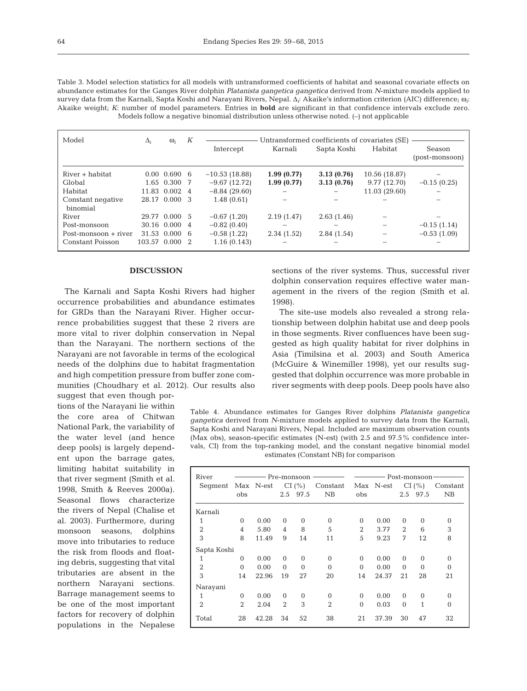| v<br>×<br>I<br>۰.<br>. . |  |
|--------------------------|--|
|                          |  |

Table 3. Model selection statistics for all models with untransformed coefficients of habitat and seasonal covariate effects on abundance estimates for the Ganges River dolphin *Platanista gangetica gangetica* derived from *N*-mixture models applied to survey data from the Karnali, Sapta Koshi and Narayani Rivers, Nepal. Δ*i*: Akaike's information criterion (AIC) difference; ω*i*: Akaike weight; *K*: number of model parameters. Entries in **bold** are significant in that confidence intervals exclude zero. Models follow a negative binomial distribution unless otherwise noted. (–) not applicable

| Model                         | $\Delta_i$     | $\omega_i$       | К | Untransformed coefficients of covariates (SE) |            |            |                        |               |
|-------------------------------|----------------|------------------|---|-----------------------------------------------|------------|------------|------------------------|---------------|
|                               |                |                  |   | Intercept                                     | Karnali    |            | Sapta Koshi<br>Habitat |               |
| River + habitat               |                | $0.00$ $0.690$ 6 |   | $-10.53(18.88)$                               | 1.99(0.77) | 3.13(0.76) | 10.56 (18.87)          |               |
| Global                        |                | 1.65 0.300 7     |   | $-9.67(12.72)$                                | 1.99(0.77) | 3.13(0.76) | 9.77 (12.70)           | $-0.15(0.25)$ |
| Habitat                       |                | 11.83 0.002 4    |   | $-8.84(29.60)$                                |            |            | 11.03 (29.60)          |               |
| Constant negative<br>binomial |                | 28.17 0.000 3    |   | 1.48(0.61)                                    |            |            |                        |               |
| River                         |                | 29.77 0.000 5    |   | $-0.67(1.20)$                                 | 2.19(1.47) | 2.63(1.46) |                        |               |
| Post-monsoon                  |                | 30.16 0.000 4    |   | $-0.82(0.40)$                                 |            |            |                        | $-0.15(1.14)$ |
| Post-monsoon + river          |                | $31.53$ 0.000 6  |   | $-0.58(1.22)$                                 | 2.34(1.52) | 2.84(1.54) |                        | $-0.53(1.09)$ |
| Constant Poisson              | 103.57 0.000 2 |                  |   | 1.16(0.143)                                   |            |            |                        |               |

#### **DISCUSSION**

The Karnali and Sapta Koshi Rivers had higher occurrence probabilities and abundance estimates for GRDs than the Narayani River. Higher occurrence probabilities suggest that these 2 rivers are more vital to river dolphin conservation in Nepal than the Narayani. The northern sections of the Narayani are not favorable in terms of the ecological needs of the dolphins due to habitat fragmentation and high competition pressure from buffer zone communities (Choudhary et al. 2012). Our results also suggest that even though por-

tions of the Narayani lie within the core area of Chitwan National Park, the variability of the water level (and hence deep pools) is largely dependent upon the barrage gates, limiting habitat suitability in that river segment (Smith et al. 1998, Smith & Reeves 2000a). Seasonal flows characterize the rivers of Nepal (Chalise et al. 2003). Furthermore, during monsoon seasons, dolphins move into tributaries to reduce the risk from floods and floating debris, suggesting that vital tributaries are absent in the northern Narayani sections. Barrage management seems to be one of the most important factors for recovery of dolphin populations in the Nepalese

sections of the river systems. Thus, successful river dolphin conservation requires effective water management in the rivers of the region (Smith et al. 1998).

The site-use models also revealed a strong relationship between dolphin habitat use and deep pools in those segments. River confluences have been suggested as high quality habitat for river dolphins in Asia (Timilsina et al. 2003) and South America (McGuire & Winemiller 1998), yet our results suggested that dolphin occurrence was more probable in river segments with deep pools. Deep pools have also

Table 4. Abundance estimates for Ganges River dolphins *Platanista gangetica gangetica* derived from *N*-mixture models applied to survey data from the Karnali, Sapta Koshi and Narayani Rivers, Nepal. Included are maximum observation counts (Max obs), season-specific estimates (N-est) (with 2.5 and 97.5% confidence intervals, CI) from the top-ranking model, and the constant negative binomial model estimates (Constant NB) for comparison

| River             | Pre-monsoon —— |       |                |          |                | Post-monsoon-  |           |                |          |          |
|-------------------|----------------|-------|----------------|----------|----------------|----------------|-----------|----------------|----------|----------|
| Segment Max N-est |                |       | CI(%)          |          | Constant       |                | Max N-est | CI(%)          |          | Constant |
|                   | obs            |       |                | 2.5 97.5 | NB             | obs            |           |                | 2.5 97.5 | NB       |
| Karnali           |                |       |                |          |                |                |           |                |          |          |
| 1                 | $\Omega$       | 0.00  | $\Omega$       | $\Omega$ | $\Omega$       | $\Omega$       | 0.00      | $\Omega$       | $\Omega$ | $\Omega$ |
| $\overline{2}$    | 4              | 5.80  | 4              | 8        | 5              | $\overline{2}$ | 3.77      | $\overline{2}$ | 6        | 3        |
| 3                 | 8              | 11.49 | 9              | 14       | 11             | 5              | 9.23      | 7              | 12       | 8        |
| Sapta Koshi       |                |       |                |          |                |                |           |                |          |          |
| 1                 | $\Omega$       | 0.00  | $\Omega$       | $\Omega$ | $\Omega$       | $\Omega$       | 0.00      | $\Omega$       | $\Omega$ | $\Omega$ |
| $\overline{2}$    | $\Omega$       | 0.00  | $\Omega$       | $\Omega$ | $\Omega$       | $\Omega$       | 0.00      | $\Omega$       | $\Omega$ | $\Omega$ |
| 3                 | 14             | 22.96 | 19             | 27       | 20             | 14             | 24.37     | 21             | 28       | 21       |
| Narayani          |                |       |                |          |                |                |           |                |          |          |
| 1                 | $\Omega$       | 0.00  | $\Omega$       | $\Omega$ | $\Omega$       | $\mathbf{0}$   | 0.00      | $\Omega$       | $\Omega$ | $\Omega$ |
| $\overline{2}$    | $\overline{2}$ | 2.04  | $\overline{2}$ | 3        | $\overline{2}$ | $\Omega$       | 0.03      | $\Omega$       | 1        | $\Omega$ |
| Total             | 28             | 42.28 | 34             | 52       | 38             | 21             | 37.39     | 30             | 47       | 32       |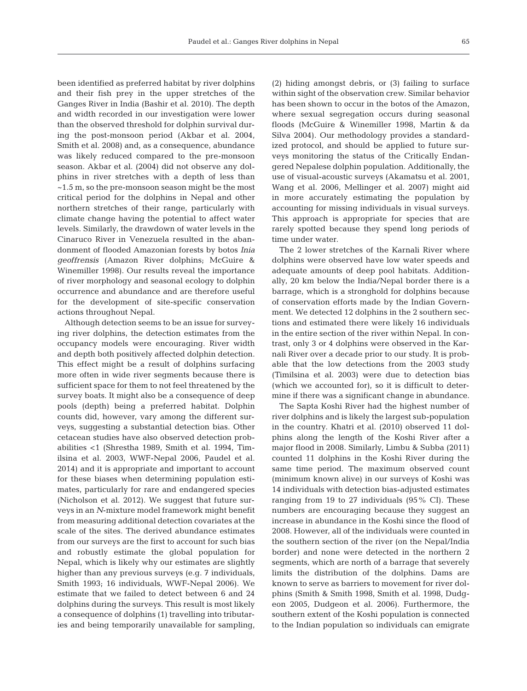been identified as preferred habitat by river dolphins and their fish prey in the upper stretches of the Ganges River in India (Bashir et al. 2010). The depth and width recorded in our investigation were lower than the observed threshold for dolphin survival during the post-monsoon period (Akbar et al. 2004, Smith et al. 2008) and, as a consequence, abundance was likely reduced compared to the pre-monsoon season. Akbar et al. (2004) did not observe any dolphins in river stretches with a depth of less than  $\sim$ 1.5 m, so the pre-monsoon season might be the most critical period for the dolphins in Nepal and other northern stretches of their range, particularly with climate change having the potential to affect water levels. Similarly, the drawdown of water levels in the Cinaruco River in Venezuela resulted in the abandonment of flooded Amazonian forests by botos *Inia geoffrensis* (Amazon River dolphins; McGuire & Winemiller 1998). Our results reveal the importance of river morphology and seasonal ecology to dolphin occurrence and abundance and are therefore useful for the development of site-specific conservation actions throughout Nepal.

Although detection seems to be an issue for surveying river dolphins, the detection estimates from the occupancy models were encouraging. River width and depth both positively affected dolphin detection. This effect might be a result of dolphins surfacing more often in wide river segments because there is sufficient space for them to not feel threatened by the survey boats. It might also be a consequence of deep pools (depth) being a preferred habitat. Dolphin counts did, however, vary among the different surveys, suggesting a substantial detection bias. Other cetacean studies have also observed detection probabilities <1 (Shrestha 1989, Smith et al. 1994, Timilsina et al. 2003, WWF-Nepal 2006, Paudel et al. 2014) and it is appropriate and important to account for these biases when determining population estimates, particularly for rare and endangered species (Nicholson et al. 2012). We suggest that future surveys in an *N*-mixture model framework might benefit from measuring additional detection covariates at the scale of the sites. The derived abundance estimates from our surveys are the first to account for such bias and robustly estimate the global population for Nepal, which is likely why our estimates are slightly higher than any previous surveys (e.g. 7 individuals, Smith 1993; 16 individuals, WWF-Nepal 2006). We estimate that we failed to detect between 6 and 24 dolphins during the surveys. This result is most likely a consequence of dolphins (1) travelling into tributaries and being temporarily unavailable for sampling,

(2) hiding amongst debris, or (3) failing to surface within sight of the observation crew. Similar behavior has been shown to occur in the botos of the Amazon, where sexual segregation occurs during seasonal floods (McGuire & Winemiller 1998, Martin & da Silva 2004). Our methodology provides a standardized protocol, and should be applied to future surveys monitoring the status of the Critically Endangered Nepalese dolphin population. Additionally, the use of visual-acoustic surveys (Akamatsu et al. 2001, Wang et al. 2006, Mellinger et al. 2007) might aid in more accurately estimating the population by accounting for missing individuals in visual surveys. This approach is appropriate for species that are rarely spotted because they spend long periods of time under water.

The 2 lower stretches of the Karnali River where dolphins were observed have low water speeds and adequate amounts of deep pool habitats. Additionally, 20 km below the India/Nepal border there is a barrage, which is a stronghold for dolphins because of conservation efforts made by the Indian Government. We detected 12 dolphins in the 2 southern sections and estimated there were likely 16 individuals in the entire section of the river within Nepal. In contrast, only 3 or 4 dolphins were observed in the Karnali River over a decade prior to our study. It is probable that the low detections from the 2003 study (Timilsina et al. 2003) were due to detection bias (which we accounted for), so it is difficult to determine if there was a significant change in abundance.

The Sapta Koshi River had the highest number of river dolphins and is likely the largest sub-population in the country. Khatri et al. (2010) observed 11 dolphins along the length of the Koshi River after a major flood in 2008. Similarly, Limbu & Subba (2011) counted 11 dolphins in the Koshi River during the same time period. The maximum observed count (minimum known alive) in our surveys of Koshi was 14 individuals with detection bias-adjusted estimates ranging from 19 to 27 individuals (95% CI). These numbers are encouraging because they suggest an increase in abundance in the Koshi since the flood of 2008. However, all of the individuals were counted in the southern section of the river (on the Nepal/India border) and none were detected in the northern 2 segments, which are north of a barrage that severely limits the distribution of the dolphins. Dams are known to serve as barriers to movement for river dolphins (Smith & Smith 1998, Smith et al. 1998, Dudgeon 2005, Dudgeon et al. 2006). Furthermore, the southern extent of the Koshi population is connected to the Indian population so individuals can emigrate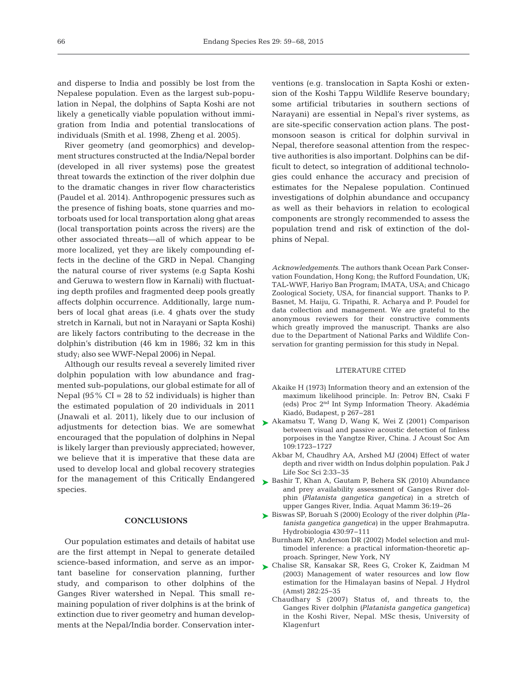and disperse to India and possibly be lost from the Nepalese population. Even as the largest sub-population in Nepal, the dolphins of Sapta Koshi are not likely a genetically viable population without immigration from India and potential translocations of individuals (Smith et al. 1998, Zheng et al. 2005).

River geometry (and geomorphics) and development structures constructed at the India/Nepal border (developed in all river systems) pose the greatest threat towards the extinction of the river dolphin due to the dramatic changes in river flow characteristics (Paudel et al. 2014). Anthropogenic pressures such as the presence of fishing boats, stone quarries and motorboats used for local transportation along ghat areas (local transportation points across the rivers) are the other associated threats—all of which appear to be more localized, yet they are likely compounding effects in the decline of the GRD in Nepal. Changing the natural course of river systems (e.g Sapta Koshi and Geruwa to western flow in Karnali) with fluctuating depth profiles and fragmented deep pools greatly affects dolphin occurrence. Additionally, large numbers of local ghat areas (i.e. 4 ghats over the study stretch in Karnali, but not in Narayani or Sapta Koshi) are likely factors contributing to the decrease in the dolphin's distribution (46 km in 1986; 32 km in this study; also see WWF-Nepal 2006) in Nepal.

Although our results reveal a severely limited river dolphin population with low abundance and fragmented sub-populations, our global estimate for all of Nepal (95%  $CI = 28$  to 52 individuals) is higher than the estimated population of 20 individuals in 2011 (Jnawali et al. 2011), likely due to our inclusion of adjustments for detection bias. We are somewhat encouraged that the population of dolphins in Nepal is likely larger than previously appreciated; however, we believe that it is imperative that these data are used to develop local and global recovery strategies for the management of this Critically Endangered species.

## **CONCLUSIONS**

Our population estimates and details of habitat use are the first attempt in Nepal to generate detailed science-based information, and serve as an important baseline for conservation planning, further study, and comparison to other dolphins of the Ganges River watershed in Nepal. This small re maining population of river dolphins is at the brink of extinction due to river geometry and human developments at the Nepal/India border. Conservation interventions (e.g. translocation in Sapta Koshi or extension of the Koshi Tappu Wildlife Reserve boundary; some artificial tributaries in southern sections of Narayani) are essential in Nepal's river systems, as are site-specific conservation action plans. The postmonsoon season is critical for dolphin survival in Nepal, therefore seasonal attention from the respective authorities is also important. Dolphins can be difficult to detect, so integration of additional technologies could enhance the accuracy and precision of estimates for the Nepalese population. Continued investigations of dolphin abundance and occupancy as well as their behaviors in relation to ecological components are strongly recommended to assess the population trend and risk of extinction of the dolphins of Nepal.

*Acknowledgements.* The authors thank Ocean Park Conservation Foundation, Hong Kong; the Rufford Foundation, UK; TAL-WWF, Hariyo Ban Program; IMATA, USA; and Chicago Zoological Society, USA, for financial support. Thanks to P. Basnet, M. Haiju, G. Tripathi, R. Acharya and P. Poudel for data collection and management. We are grateful to the anonymous reviewers for their constructive comments which greatly improved the manuscript. Thanks are also due to the Department of National Parks and Wildlife Conservation for granting permission for this study in Nepal.

#### LITERATURE CITED

- Akaike H (1973) Information theory and an extension of the maximum likelihood principle. In: Petrov BN, Csaki F (eds) Proc 2nd Int Symp Information Theory. Akadémia Kiadó, Budapest, p 267−281
- ▶ [Akamatsu T, Wang D, Wang K, Wei Z \(2001\) Comparison](http://dx.doi.org/10.1121/1.1356705) between visual and passive acoustic detection of finless porpoises in the Yangtze River, China. J Acoust Soc Am 109: 1723−1727
	- Akbar M, Chaudhry AA, Arshed MJ (2004) Effect of water depth and river width on Indus dolphin population. Pak J Life Soc Sci 2:33-35
- ► [Bashir T, Khan A, Gautam P, Behera SK \(2010\) Abundance](http://dx.doi.org/10.1578/AM.36.1.2010.19) and prey availability assessment of Ganges River dolphin *(Platanista gangetica gangetica)* in a stretch of upper Ganges River, India. Aquat Mamm 36: 19−26
- [Biswas SP, Boruah S \(2000\) Ecology of the river dolphin](http://dx.doi.org/10.1023/A:1004077215276) *(Pla-*➤ *tanista gangetica gangetica)* in the upper Brahmaputra. Hydrobiologia 430:97-111
	- Burnham KP, Anderson DR (2002) Model selection and multimodel inference: a practical information-theoretic approach. Springer, New York, NY
- ▶ [Chalise SR, Kansakar SR, Rees G, Croker K, Zaidman M](http://dx.doi.org/10.1016/S0022-1694(03)00250-6) (2003) Management of water resources and low flow estimation for the Himalayan basins of Nepal. J Hydrol (Amst) 282: 25−35
	- Chaudhary S (2007) Status of, and threats to, the Ganges River dolphin *(Platanista gangetica gangetica)* in the Koshi River, Nepal. MSc thesis, University of Klagenfurt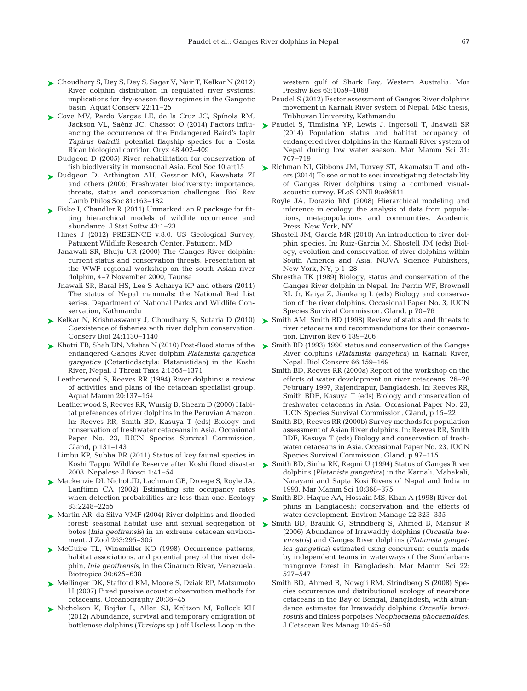- [Choudhary S, Dey S, Dey S, Sagar V, Nair T, Kelkar N \(2012\)](http://dx.doi.org/10.1002/aqc.1240) ➤ River dolphin distribution in regulated river systems: implications for dry-season flow regimes in the Gangetic basin. Aquat Conserv 22: 11−25
- ► [Cove MV, Pardo Vargas LE, de la Cruz JC, Spínola RM,](http://dx.doi.org/10.1017/S0030605313000070) Jackson VL, Saénz JC, Chassot O (2014) Factors influencing the occurrence of the Endangered Baird's tapir *Tapirus bairdii*: potential flagship species for a Costa Rican biological corridor. Oryx 48:402-409
	- Dudgeon D (2005) River rehabilitation for conservation of fish biodiversity in monsoonal Asia. Ecol Soc 10:art15
- ▶ [Dudgeon D, Arthington AH, Gessner MO, Kawabata ZI](http://dx.doi.org/10.1017/S1464793105006950) and others (2006) Freshwater biodiversity: importance, threats, status and conservation challenges. Biol Rev Camb Philos Soc 81: 163−182
- ► Fiske I, Chandler R (2011) Unmarked: an R package for fitting hierarchical models of wildlife occurrence and abundance. J Stat Softw 43: 1−23
	- Hines J (2012) PRESENCE v.8.0. US Geological Survey, Patuxent Wildlife Research Center, Patuxent, MD
	- Janawali SR, Bhuju UR (2000) The Ganges River dolphin: current status and conservation threats. Presentation at the WWF regional workshop on the south Asian river dolphin, 4−7 November 2000, Taunsa
	- Jnawali SR, Baral HS, Lee S Acharya KP and others (2011) The status of Nepal mammals: the National Red List series. Department of National Parks and Wildlife Conservation, Kathmandu
- ► [Kelkar N, Krishnaswamy J, Choudhary S, Sutaria D \(2010\)](http://dx.doi.org/10.1111/j.1523-1739.2010.01467.x) Coexistence of fisheries with river dolphin conservation. Conserv Biol 24: 1130−1140
- ► [Khatri TB, Shah DN, Mishra N \(2010\) Post-flood status of the](http://dx.doi.org/10.11609/JoTT.o2496.1365-71) endangered Ganges River dolphin *Platanista gangetica gangetica* (Cetartiodactyla: Platanistidae) in the Koshi River, Nepal. J Threat Taxa 2: 1365−1371
	- Leatherwood S, Reeves RR (1994) River dolphins: a review of activities and plans of the cetacean specialist group. Aquat Mamm 20: 137−154
	- Leatherwood S, Reeves RR, Wursig B, Shearn D (2000) Habitat preferences of river dolphins in the Peruvian Amazon. In: Reeves RR, Smith BD, Kasuya T (eds) Biology and conservation of freshwater cetaceans in Asia. Occasional Paper No. 23, IUCN Species Survival Commission, Gland, p 131−143
	- Limbu KP, Subba BR (2011) Status of key faunal species in Koshi Tappu Wildlife Reserve after Koshi flood disaster 2008. Nepalese J Biosci 1:41–54
- [Mackenzie DI, Nichol JD, Lachman GB, Droege S, Royle JA,](http://dx.doi.org/10.1890/0012-9658(2002)083%5B2248:ESORWD%5D2.0.CO;2) ➤ Lanftimn CA (2002) Estimating site occupancy rates when detection probabilities are less than one. Ecology 83: 2248−2255
- ► [Martin AR, da Silva VMF \(2004\) River dolphins and flooded](http://dx.doi.org/10.1017/S095283690400528X) forest: seasonal habitat use and sexual segregation of botos (*Inia geoffrensis*) in an extreme cetacean environment. J Zool 263:295-305
- ▶ [McGuire TL, Winemiller KO \(1998\) Occurrence patterns,](http://dx.doi.org/10.1111/j.1744-7429.1998.tb00102.x) habitat associations, and potential prey of the river dolphin, *Inia geoffrensis*, in the Cinaruco River, Venezuela. Biotropica 30:625–638
- ▶ [Mellinger DK, Stafford KM, Moore S, Dziak RP, Matsumoto](http://dx.doi.org/10.5670/oceanog.2007.03) H (2007) Fixed passive acoustic observation methods for cetaceans. Oceanography 20:36-45
- ▶ [Nicholson K, Bejder L, Allen SJ, Krützen M, Pollock KH](http://dx.doi.org/10.1071/MF12210) (2012) Abundance, survival and temporary emigration of bottlenose dolphins (*Tursiops* sp.) off Useless Loop in the

western gulf of Shark Bay, Western Australia. Mar Freshw Res 63: 1059−1068

- Paudel S (2012) Factor assessment of Ganges River dolphins movement in Karnali River system of Nepal. MSc thesis, Tribhuvan University, Kathmandu
- ▶ [Paudel S, Timilsina YP, Lewis J, Ingersoll T, Jnawali SR](http://dx.doi.org/10.1111/mms.12192) (2014) Population status and habitat occupancy of endangered river dolphins in the Karnali River system of Nepal during low water season. Mar Mamm Sci 31: 707−719
- ▶ [Richman NI, Gibbons JM, Turvey ST, Akamatsu T and oth](http://dx.doi.org/10.1371/journal.pone.0096811)ers (2014) To see or not to see: investigating detectability of Ganges River dolphins using a combined visualacoustic survey. PLoS ONE 9:e96811
	- Royle JA, Dorazio RM (2008) Hierarchical modeling and inference in ecology: the analysis of data from populations, metapopulations and communities. Academic Press, New York, NY
	- Shostell JM, García MR (2010) An introduction to river dolphin species. In: Ruiz-Garcia M, Shostell JM (eds) Biology, evolution and conservation of river dolphins within South America and Asia. NOVA Science Publishers, New York, NY, p 1−28
	- Shrestha TK (1989) Biology, status and conservation of the Ganges River dolphin in Nepal. In: Perrin WF, Brownell RL Jr, Kaiya Z, Jiankang L (eds) Biology and conservation of the river dolphins. Occasional Paper No. 3, IUCN Species Survival Commission, Gland, p 70−76
- ► [Smith AM, Smith BD \(1998\) Review of status and threats to](http://dx.doi.org/10.1139/a99-002) river cetaceans and recommendations for their conservation. Environ Rev 6: 189−206
- ► [Smith BD \(1993\) 1990 status and conservation of the Ganges](http://dx.doi.org/10.1016/0006-3207(93)90002-I) River dolphins (*Platanista gangetica*) in Karnali River, Nepal. Biol Conserv 66:159-169
	- Smith BD, Reeves RR (2000a) Report of the workshop on the effects of water development on river cetaceans, 26−28 February 1997, Rajendrapur, Bangladesh. In: Reeves RR, Smith BDE, Kasuya T (eds) Biology and conservation of freshwater cetaceans in Asia. Occasional Paper No. 23, IUCN Species Survival Commission, Gland, p 15−22
	- Smith BD, Reeves RR (2000b) Survey methods for population assessment of Asian River dolphins. In: Reeves RR, Smith BDE, Kasuya T (eds) Biology and conservation of freshwater cetaceans in Asia. Occasional Paper No. 23, IUCN Species Survival Commission, Gland, p 97−115
- ► [Smith BD, Sinha RK, Regmi U \(1994\) Status of Ganges River](http://dx.doi.org/10.1111/j.1748-7692.1994.tb00492.x) dolphins (*Platanista gangetica*) in the Karnali, Mahakali, Narayani and Sapta Kosi Rivers of Nepal and India in 1993. Mar Mamm Sci 10:368-375
- ► [Smith BD, Haque AA, Hossain MS, Khan A \(1998\) River dol](http://dx.doi.org/10.1007/s002679900108)phins in Bangladesh: conservation and the effects of water development. Environ Manage 22:323-335
- ▶ [Smith BD, Braulik G, Strindberg S, Ahmed B, Mansur R](http://dx.doi.org/10.1111/j.1748-7692.2006.00041.x) (2006) Abundance of Irrawaddy dolphins (*Orcaella brevirostris*) and Ganges River dolphins (*Platanista gangetica gangetica*) estimated using concurrent counts made by independent teams in waterways of the Sundarbans mangrove forest in Bangladesh. Mar Mamm Sci 22: 527−547
	- Smith BD, Ahmed B, Nowgli RM, Strindberg S (2008) Species occurrence and distributional ecology of nearshore cetaceans in the Bay of Bengal, Bangladesh, with abundance estimates for Irrawaddy dolphins *Orcaella brevirostris* and finless porpoises *Neophocaena phocaenoides*. J Cetacean Res Manag 10: 45−58